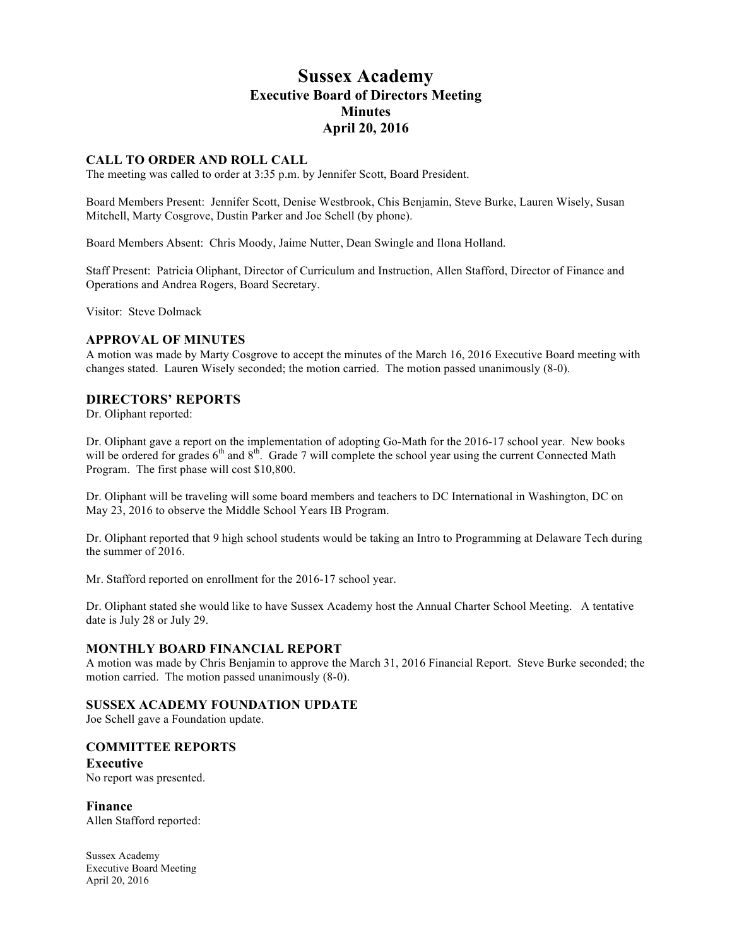# **Sussex Academy Executive Board of Directors Meeting Minutes April 20, 2016**

## **CALL TO ORDER AND ROLL CALL**

The meeting was called to order at 3:35 p.m. by Jennifer Scott, Board President.

Board Members Present: Jennifer Scott, Denise Westbrook, Chis Benjamin, Steve Burke, Lauren Wisely, Susan Mitchell, Marty Cosgrove, Dustin Parker and Joe Schell (by phone).

Board Members Absent: Chris Moody, Jaime Nutter, Dean Swingle and Ilona Holland.

Staff Present: Patricia Oliphant, Director of Curriculum and Instruction, Allen Stafford, Director of Finance and Operations and Andrea Rogers, Board Secretary.

Visitor: Steve Dolmack

#### **APPROVAL OF MINUTES**

A motion was made by Marty Cosgrove to accept the minutes of the March 16, 2016 Executive Board meeting with changes stated. Lauren Wisely seconded; the motion carried. The motion passed unanimously (8-0).

## **DIRECTORS' REPORTS**

Dr. Oliphant reported:

Dr. Oliphant gave a report on the implementation of adopting Go-Math for the 2016-17 school year. New books will be ordered for grades 6<sup>th</sup> and 8<sup>th</sup>. Grade 7 will complete the school year using the current Connected Math Program. The first phase will cost \$10,800.

Dr. Oliphant will be traveling will some board members and teachers to DC International in Washington, DC on May 23, 2016 to observe the Middle School Years IB Program.

Dr. Oliphant reported that 9 high school students would be taking an Intro to Programming at Delaware Tech during the summer of 2016.

Mr. Stafford reported on enrollment for the 2016-17 school year.

Dr. Oliphant stated she would like to have Sussex Academy host the Annual Charter School Meeting. A tentative date is July 28 or July 29.

#### **MONTHLY BOARD FINANCIAL REPORT**

A motion was made by Chris Benjamin to approve the March 31, 2016 Financial Report. Steve Burke seconded; the motion carried. The motion passed unanimously (8-0).

# **SUSSEX ACADEMY FOUNDATION UPDATE**

Joe Schell gave a Foundation update.

#### **COMMITTEE REPORTS**

**Executive** No report was presented.

**Finance** Allen Stafford reported:

Sussex Academy Executive Board Meeting April 20, 2016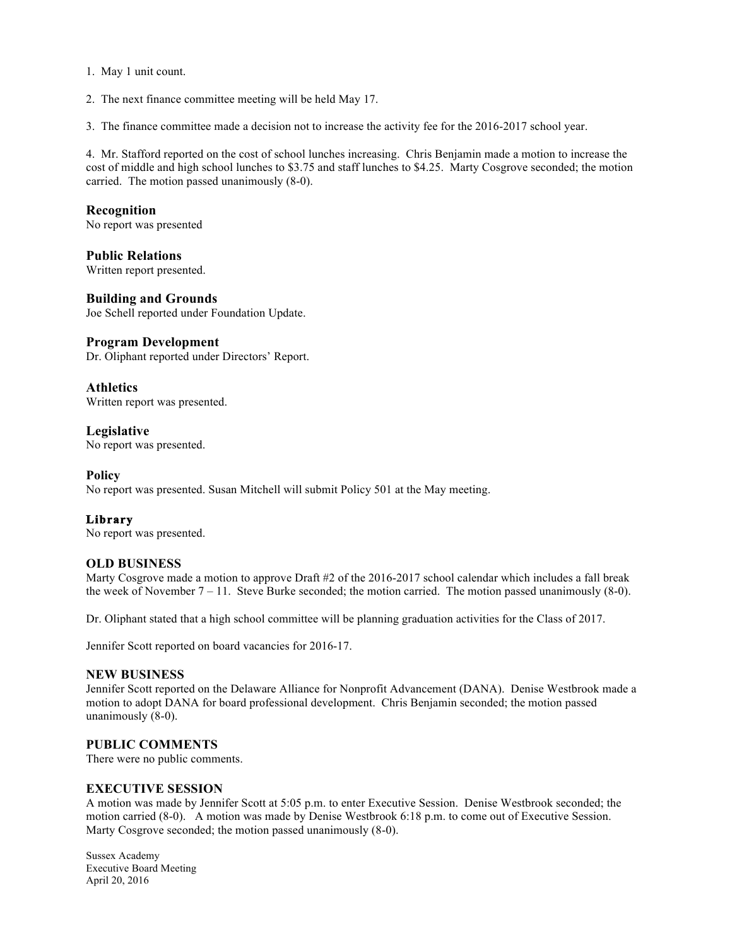1. May 1 unit count.

2. The next finance committee meeting will be held May 17.

3. The finance committee made a decision not to increase the activity fee for the 2016-2017 school year.

4. Mr. Stafford reported on the cost of school lunches increasing. Chris Benjamin made a motion to increase the cost of middle and high school lunches to \$3.75 and staff lunches to \$4.25. Marty Cosgrove seconded; the motion carried. The motion passed unanimously (8-0).

## **Recognition**

No report was presented

**Public Relations** Written report presented.

#### **Building and Grounds**

Joe Schell reported under Foundation Update.

## **Program Development**

Dr. Oliphant reported under Directors' Report.

# **Athletics**

Written report was presented.

**Legislative**

No report was presented.

## **Policy**

No report was presented. Susan Mitchell will submit Policy 501 at the May meeting.

# **Library**

No report was presented.

## **OLD BUSINESS**

Marty Cosgrove made a motion to approve Draft #2 of the 2016-2017 school calendar which includes a fall break the week of November  $7 - 11$ . Steve Burke seconded; the motion carried. The motion passed unanimously (8-0).

Dr. Oliphant stated that a high school committee will be planning graduation activities for the Class of 2017.

Jennifer Scott reported on board vacancies for 2016-17.

## **NEW BUSINESS**

Jennifer Scott reported on the Delaware Alliance for Nonprofit Advancement (DANA). Denise Westbrook made a motion to adopt DANA for board professional development. Chris Benjamin seconded; the motion passed unanimously (8-0).

## **PUBLIC COMMENTS**

There were no public comments.

#### **EXECUTIVE SESSION**

A motion was made by Jennifer Scott at 5:05 p.m. to enter Executive Session. Denise Westbrook seconded; the motion carried (8-0). A motion was made by Denise Westbrook 6:18 p.m. to come out of Executive Session. Marty Cosgrove seconded; the motion passed unanimously (8-0).

Sussex Academy Executive Board Meeting April 20, 2016